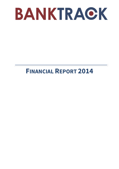

# **FINANCIAL REPORT 2014**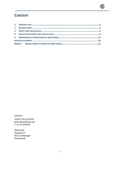# **CONTENT**

C

### **CONTACT:**

Johan Frijns, Director johan@banktrack.org T: 31-24-3249220

BankTrack Vismarkt 15 6511 VJ Nijmegen Netherlands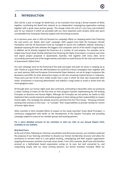# <span id="page-2-0"></span>**1 INTRODUCTION**

2015 will be a year of change for BankTrack, as we transition from being a formal network of NGOs together constituting the BankTrack network to an independent campaigning organisation working together with a great many partner groups. The change marks the end of a very busy and turbulent year for our network in which we preceded with our most important work streams while also spent considerable time chasing for financial support and reinventing ourselves.

As in previous years also in 2014 we focused our campaign efforts on stopping banks from financing the coal sector; our 'Banks: Quit Coal!' campaign. With support from both the European Climate Foundation and the VK Rasmussen Fund we managed to launch the CoalBanks website, featuring a database exposing the links between the biggest coal companies and 92 of the world's largest banks. In addition we've directly targeted the financiers of a number of coal projects. For example, we've helped stop French bank Société Générale from financing the Alpha Coal project, a massive coal mine and export project proposed in Queensland, Australia. And together with many allies we've successfully pressured nine of the largest twenty coal banks to avoid finance for the new coal terminals at Queensland's Abbot Point.

Our new campaign work on the financing of the pulp and paper and palm oil sector is ramping up as well. Thanks to a grant from the JMG foundation we could hire a forest campaigner that, together with our work partners RAN and European Environmental Paper Network, set out to target companies like Bumitama and APRIL for their destructive impact on the last remaining tropical forests in Indonesia. Those were just two of the more visible results from a year in which we have also researched other banks' investments in financing deforestation and lobbied a range banks to avoid or divest from the most egregious cases.

All through 2014, our human rights work also continued, culminating in December when we produced a report ranking 32 banks for the first time on their progress towards implementing the UN Guiding Principles on Business and Human Rights. Although the Principles are not perfect, for banks to fully implement them would represent substantial progress in them taking up their responsibility to respect human rights. The campaign has already secured a promise from the Thun Group – the group of banks working most actively on this issue – to "consider" their responsibilities to provide remedy for victims of human rights abuse.

Other activities in 2014 included efforts to impact on the newly launched 'Green Bond Principles', a continuous engagement with banks on the development of the Equator Principles and providing campaign support to many of our member groups and working partners.

### **For a more detailed account of our activities in 2014 we refer to our Annual Report 2014, available on our website.**

### **NEW BANKTRACK**

At the end of 2014, following an intensive consultation and discussion process, our members endorsed the proposal of our Steering committee to dissolve our formal membership structure and allow the secretariat to reinvent itself as a new global tracking, campaigning and NGO support organisation targeting the business activities of private sector banks. From 2015 onwards, BankTrack will therefore proceed as a Netherlands based organisation acting on its own, but well connected to, and cooperating closely with our many working partners, our former members included. While our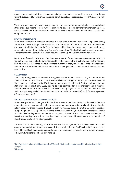organisational model will thus change, our mission –summarised as 'pushing private sector banks towards sustainability'- will remain the same, as will our role as support group for NGOs engaging with banks.

The new arrangement will have consequences for the structure of our work budget, our fundraising strategy and our income sources (with for example no longer income deriving from membership fees), but we expect this reorganisation to lead to an overall improvement of our financial situation compared to 2014.

### **STAFFING AT SECRETARIAT**

In 2014 the secretariat in Nijmegen consisted of a staff of four, with our new forest campaigner joining the director, office manager and researcher & editor as part of the team. We also continued our arrangement with Les Amis de la Terre in France, which formally employs our climate and energy coordinator working from his home in France. To support our 'Banks; Quit coal!' campaign we made arrangements with a consultant in Czech Republic to team up with us for two days per week.

Our total staff capacity in 2014 was therefore on average 4,3 fte, an improvement compared to 2013 (3 fte) but at least two full fte below what would have been needed to effectively manage the network. With new BankTrack in place, we have expanded our staff capacity for 2015 already to 6 fte, intern and temporary staff included, and aim to hire a further two persons as soon as our financial situation permits this.

### **SALARY POLICY**

The salary arrangements of BankTrack are guided by the Dutch 'CAO Welzijn'1, this as far as our financial situation permits us to do so. There have been no changes in this policy in 2014 compared to the previous year, with a new CAO Welzijn only coming into effect in 2015. Contracts with most of our staff were renegotiated early 2015, leading to fixed contracts for three members and a renewed temporary contract for the fourth core staff person. Salary payments are again in line with the CAO Welzijn, respectively, scale 12.13Ui (director), scale 10,1 (editor & researcher), 8.1 (office manager) and 8.0 forest campaigner.2

### **FINANCIAL SUPPORT 2014, STRATEGY FOR 2015**

While the organizational changes within BankTrack were primarily motivated by the need to become more effective in our cooperation with other groups, our deteriorating financial outlook also played a role in opting for these changes. Throughout 2014 we received support from the CS Mott Foundation (supporting us since 2003) and Oxfam Novib (since 2008). However, both foundations indicated early 2014 already that they would terminate their support at the end of 2014. This opened the prospect of BankTrack entering 2015 with no core financing at all, which would have made the continuation of BankTrack as a network next to impossible.

To attract such core financing from other sources we strongly felt that a major overhaul of the organization and of our strategy was needed. The new direction for BankTrack in 2015 now in place has led Oxfam Novib to renew its support for one more additional year, while we are busy approaching other, new funders for additional core funding.

-

<sup>1</sup> http://cdn.salaris-informatie.nl/images/stories/CAO/welzijn/CAO\_welzijn\_maatschappelijke\_dienstverlening\_2014- 2016.pdf

<sup>2</sup> Idem, p 80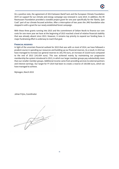On a positive note, the agreement of 2013 between BankTrack and the European Climate Foundation (ECF) on support for our climate and energy campaign was renewed in June 2014. In addition, the VK Rasmussen Foundation provided a sizeable project grant for one year specifically for the 'Banks, Quit Coal!' part of our climate focused activities. After a interruption of two years the JMG foundation also stepped in with a grant for our newly established forest campaign.

With these three grants running into 2015 and the commitment of Oxfam Novib to finance our core costs for one more year we have at the beginning of 2015 reached a level of relative financial stability that was already absent since 2013. However, it remains top priority to expand our funding base. A major fundraising effort is underway to reach that goal.

### **FINANCIAL RESERVES**

In light of the uncertain financial outlook for 2015 that was with us most of 2014, we have followed a prudent course in spending our resources and building up our financial reserves. As a result, In 2014 we have managed to increase our general reserves to 165,743 euro, an increase of 23,819 euro compared to the end of 2013 (141.654 euro). This was achieved mainly by maintaining our progressive membership fee system introduced in 2013, in which our larger member groups pay substantially more than our smaller member groups. Additional income came from providing services to external partners and interest earnings. Our target for FY 2014 had been to create a reserve of 150.000 euro, which we have managed to achieve.

Nijmegen, March 2015

Johan Frijns, Coordinator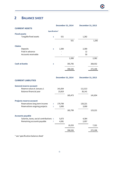# <span id="page-5-0"></span>**2 BALANCE SHEET**

|                                         |                |         | <b>December 31, 2014</b> | <b>December 31, 2013</b> |         |
|-----------------------------------------|----------------|---------|--------------------------|--------------------------|---------|
| <b>CURRENT ASSETS</b>                   |                |         |                          |                          |         |
| Specification*                          |                |         |                          |                          |         |
| <b>Fixed assets</b>                     |                |         |                          |                          |         |
| Tangible fixed assets                   | $\mathbf{1}$   | 521     |                          | 1,282                    |         |
|                                         |                |         | 521                      |                          | 1,282   |
|                                         |                |         |                          |                          |         |
| <b>Claims</b>                           |                |         |                          |                          |         |
| Deposits                                | $\overline{2}$ | 2,300   |                          | 2,300                    |         |
| Paid in advance                         |                |         |                          | 12                       |         |
| Accounts receivable                     |                |         |                          | 50                       |         |
|                                         |                |         | 2,300                    |                          | 2,362   |
| <b>Cash at banks</b>                    | 3              |         | 355,705                  |                          | 268,552 |
|                                         |                |         | 358,526                  |                          | 272,196 |
|                                         |                |         |                          |                          |         |
|                                         |                |         | <b>December 31, 2014</b> | <b>December 31, 2013</b> |         |
| <b>CURRENT LIABILITIES</b>              |                |         |                          |                          |         |
| <b>General reserve account</b>          |                |         |                          |                          |         |
| Reserve value at January 1              |                | 141,654 |                          | 111,513                  |         |
| Balance financial year                  |                | 23,819  |                          | 30,141                   |         |
|                                         |                |         | 165,473                  |                          | 141,654 |
| <b>Projects reserve account</b>         |                |         |                          |                          |         |
| Reservations long term income           | 4              | 179,799 |                          | 120,221                  |         |
| Reservations ongoing projects           | 5              | 3,000   |                          | 3,000                    |         |
|                                         |                |         |                          |                          |         |
|                                         |                |         | 182,799                  |                          | 123,221 |
| <b>Accounts payable</b>                 |                |         |                          |                          |         |
| Salaries, taxes, social contributions 6 |                | 5,673   |                          | 4,364                    |         |
| Remaining accounts payable              | 7              | 4,581   |                          | 2,957                    |         |
|                                         |                |         | 10,253                   |                          | 7,321   |
|                                         |                |         | 358,526                  |                          | 272,196 |

\* see 'specification balance sheet'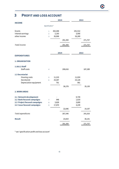# <span id="page-6-0"></span>**3 PROFIT AND LOSS ACCOUNT**

|                               |                |         | 2014<br>2013 |         |         |  |
|-------------------------------|----------------|---------|--------------|---------|---------|--|
| <b>INCOME</b>                 |                |         |              |         |         |  |
|                               | Specification* |         |              |         |         |  |
| Grants                        | 1              | 262,268 |              | 241,512 |         |  |
| interest earnings             | 2              | 2,183   |              | 3,956   |         |  |
| other income                  | 3              | 26,908  |              | 26,289  |         |  |
|                               |                |         | 291,359      |         | 271,757 |  |
| Total income                  |                |         | 291,359      |         | 271,757 |  |
|                               |                | 2014    |              | 2013    |         |  |
| <b>EXPENDITURES</b>           |                |         |              |         |         |  |
| 1. ORGANISATION               |                |         |              |         |         |  |
| 1.1&1.2 Staff                 |                |         |              |         |         |  |
| Staff costs                   | 4              |         | 208,616      |         | 187,289 |  |
| 1.3 Secretariat               |                |         |              |         |         |  |
| Housing costs                 | 5              | 11,210  |              | 11,024  |         |  |
| Secretariat                   | 6              | 24,307  |              | 23,126  |         |  |
| Depreciation equipment        |                | 761     |              | 981     |         |  |
|                               |                |         | 36,278       |         | 35,130  |  |
| <b>2. WORK AREAS</b>          |                |         |              |         |         |  |
|                               |                |         |              |         |         |  |
| 2.1 Network development       |                |         |              | 9,739   |         |  |
| 2.2 Bank focused campaigns    | $\overline{7}$ | 948     |              | 1,619   |         |  |
| 2.3 Project focused campaigns | 8              | 3,828   |              | 3,600   |         |  |
| 2.4 Issue focused campaigns   | 9              | 17,870  |              | 4,239   |         |  |
|                               |                |         | 22,646       |         | 19,197  |  |
| Total expenditures            |                |         | 267,540      |         | 241,616 |  |
| <b>Result</b>                 |                |         | 23,819       |         | 30,141  |  |
|                               |                |         | 291,359      |         | 271,757 |  |

\* see 'specification profit and loss account'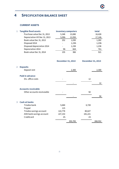# **4 SPECIFICATION BALANCE SHEET**

### **CURRENT ASSETS**

| $\mathbf{1}$   | <b>Tangible fixed assets</b>   | inventory computers      |         |                          | total   |
|----------------|--------------------------------|--------------------------|---------|--------------------------|---------|
|                | Purchase value Dec 31, 2013    | 5,348                    | 13,080  |                          | 18,428  |
|                | Depreciation till Dec 31, 2013 | 5,096-                   | 12,050- |                          | 17,146- |
|                | Book value Dec 31, 2013        | 252                      | 1,030   |                          | 1,282   |
|                | Disposed 2014                  |                          | 1,238-  |                          | 1,238-  |
|                | Disposed depreciation 2014     |                          | 1,238   |                          | 1,238   |
|                | Depreciation 2014              | 98-                      | 664-    |                          | 761-    |
|                | Book value Dec 31, 2014        | 155                      | 366     |                          | 521     |
|                |                                | <b>December 31, 2014</b> |         | <b>December 31, 2013</b> |         |
| $\overline{2}$ | <b>Deposits</b>                |                          |         |                          |         |
|                | Deposit rent                   |                          | 2,300   |                          | 2,300   |
|                | <b>Paid in advance</b>         |                          |         |                          |         |
|                | Div. office costs              |                          |         | 12                       |         |
|                |                                |                          |         |                          | 12      |
|                | <b>Accounts receivable</b>     |                          |         |                          |         |
|                | Other accounts receiveable     |                          |         | 50                       |         |
|                |                                |                          |         |                          | 50      |
| 3              | <b>Cash at banks</b>           |                          |         |                          |         |
|                | Triodos bank                   | 5,684                    |         | 6,728                    |         |
|                | Paypal                         | 115                      |         |                          |         |
|                | Triodos savings account        | 122,778                  |         | 80,627                   |         |
|                | ASN bank savings account       | 227,153                  |         | 181,221                  |         |
|                | Creditcard                     | $25 -$                   |         | $23 -$                   |         |
|                |                                |                          | 355,705 |                          | 268,552 |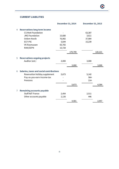### **CURRENT LIABILITIES**

|   |                                                                                   | <b>December 31, 2014</b> |         | <b>December 31, 2013</b> |         |
|---|-----------------------------------------------------------------------------------|--------------------------|---------|--------------------------|---------|
| 4 | <b>Reservations long term income</b>                                              |                          |         |                          |         |
|   | <b>CS Mott Foundation</b>                                                         |                          |         | 63,387                   |         |
|   | <b>JMG Foundation</b>                                                             | 15,680                   |         | 3,611                    |         |
|   | Oxfam-Novib                                                                       | 76,982                   |         | 37,984                   |         |
|   | <b>ECF-PIE</b>                                                                    | 5,644                    |         | 15,239                   |         |
|   | <b>VK Rasmussen</b>                                                               | 65,765                   |         |                          |         |
|   | RAN/EEPN                                                                          | 15,728                   |         |                          |         |
|   |                                                                                   |                          | 179,799 |                          | 120,221 |
|   |                                                                                   |                          |         |                          |         |
| 5 | <b>Reservations ongoing projects</b>                                              |                          |         |                          |         |
|   | Auditor (est.)                                                                    | 3,000                    |         | 3,000                    |         |
|   |                                                                                   |                          | 3,000   |                          | 3,000   |
|   |                                                                                   |                          |         |                          |         |
| 6 | <b>Salaries, taxes and social contributions</b><br>Reservation holiday supplement | 5,673                    |         | 5,142                    |         |
|   | Pay-as-you-earn-income-tax                                                        |                          |         | 564-                     |         |
|   | Pensions                                                                          |                          |         | $214 -$                  |         |
|   |                                                                                   |                          |         |                          |         |
|   |                                                                                   |                          | 5,673   |                          | 4,364   |
| 7 | <b>Remaining accounts payable</b>                                                 |                          |         |                          |         |
|   | <b>Staff AdT France</b>                                                           | 2,454                    |         | 2,511                    |         |
|   | Other accounts payable                                                            | 2,126                    |         | 446                      |         |
|   |                                                                                   |                          |         |                          |         |
|   |                                                                                   |                          | 4,581   |                          | 2,957   |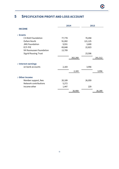# <span id="page-9-0"></span>**5 SPECIFICATION PROFIT AND LOSS ACCOUNT**

|                             | 2014   |         | 2013    |         |
|-----------------------------|--------|---------|---------|---------|
| <b>INCOME</b>               |        |         |         |         |
| 1 Grants                    |        |         |         |         |
| <b>CS Mott Foundation</b>   | 77,778 |         | 70,458  |         |
| Oxfam Novib                 | 91,002 |         | 121,125 |         |
| <b>JMG Foundation</b>       | 9,931  |         | 3,600   |         |
| <b>ECF-PIE</b>              | 69,848 |         | 22,823  |         |
| VK Rasmussen Foundation     | 13,709 |         |         |         |
| <b>Sigrid Rausing Trust</b> |        |         | 23,506  |         |
|                             |        | 262,268 |         | 241,512 |
| 2 Interest earnings         |        |         |         |         |
| on bank accounts            | 2,183  |         | 3,956   |         |
|                             |        | 2,183   |         | 3,956   |
| 3 Other income              |        |         |         |         |
| Member support, fees        | 20,189 |         | 26,059  |         |
| Network contributions       | 5,272  |         |         |         |
| Income other                | 1,447  |         | 229     |         |
|                             |        | 26,908  |         | 26,289  |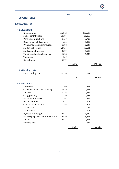|                                    | 2014    |         | 2013    |         |
|------------------------------------|---------|---------|---------|---------|
| <b>EXPENDITURES</b>                |         |         |         |         |
| <b>1. ORGANISATION</b>             |         |         |         |         |
| 4 1.1 & 1.2 Staff                  |         |         |         |         |
| Gross salaries                     | 115,263 |         | 102,507 |         |
| Social contributions               | 19,394  |         | 15,168  |         |
| Pension contributions              | 8,150   |         | 7,792   |         |
| Reservation holiday money          | 531     |         | 1,319   |         |
| Premiums absenteism insurance      | 1,398   |         | 1,147   |         |
| <b>Staff at AdT France</b>         | 53,054  |         | 52,511  |         |
| Staff commuting costs              | 3,599   |         | 5,505   |         |
| Training, education & coaching     | 1,898   |         | 1,340   |         |
| Volunteers                         | 250     |         |         |         |
| Consultants                        | 5,079   |         |         |         |
|                                    |         | 208,616 |         | 187,289 |
| 5 1.3 Housing costs                |         |         |         |         |
| Rent, housing costs                | 11,210  |         | 11,024  |         |
|                                    |         | 11,210  |         | 11,024  |
|                                    |         |         |         |         |
| 6 1.3 Secretariat                  |         |         |         |         |
| Insurances                         | 260     |         | 211     |         |
| Communication costs, hosting       | 1,939   |         | 2,347   |         |
| <b>Supplies</b>                    | 1,736   |         | 1,352   |         |
| Copy, printing                     | 750     |         | 1,381   |         |
| Representation costs               | 192     |         | 844     |         |
| Documentation                      | 681     |         | 903     |         |
| Other secretariat costs            | 346     |         | 209     |         |
| Travel staff                       | 324     |         | 59      |         |
| Translations                       |         |         | 701     |         |
| IT, website & design               | 12,513  |         | 6,639   |         |
| Bookkeeping and salary administrat | 2,550   |         | 5,295   |         |
| Auditor                            | 2,571   |         | 2,511   |         |
| <b>Banking costs</b>               | 447     |         | 674     |         |
|                                    |         | 24,307  |         | 23,126  |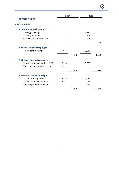<span id="page-11-0"></span>

|                                  | 2014   |        | 2013  |       |
|----------------------------------|--------|--------|-------|-------|
| <b>EXPENDITURES</b>              |        |        |       |       |
| <b>2. WORK AREAS</b>             |        |        |       |       |
| 2.1 Network development          |        |        |       |       |
| Strategy meetings                |        |        | 8,385 |       |
| Training activities              |        |        | 603   |       |
| Outreach and presentation        |        |        | 751   |       |
|                                  |        |        |       | 9,739 |
|                                  |        |        |       |       |
| 7 2.2 Bank focused campaigns     |        |        |       |       |
| Travel bank meetings             | 948    |        | 1,619 |       |
|                                  |        | 948    |       | 1,619 |
| 8 2.3 Project focused campaigns  |        |        |       |       |
| Research and publications (SRF)  | 2,336  |        | 3,600 |       |
| Travel and fact finding missions | 1,492  |        |       |       |
|                                  |        | 3,828  |       | 3,600 |
| 9 2.4 Issue focused campaigns    |        |        |       |       |
| Travel campaign events           | 2,756  |        | 4,024 |       |
| Research and publications        | 15,113 |        | 99    |       |
| Support partners, other costs    |        |        | 116   |       |
|                                  |        | 17,870 |       | 4,239 |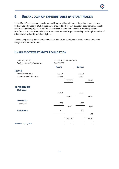### **6 BREAKDOWN OF EXPENDITURES BY GRANT MAKER**

In 2014 BankTrack received financial support from five different funders (including grants received earlier and partly used in 2014). Support was provided both for core operating costs as well as specific research and other projects. In addition, we received income from two of our working partners (Rainforest Action Network and the European Environmental Paper Network) plus through a number of other sources, primarily membership fees.

The following pages provide a breakdown of expenditures as they were included in the application budget to our various funders.

### **CHARLES STEWART MOTT FOUNDATION**

| Contract period                | Jan 1st 2013 - Dec 31st 2014 |        |               |        |
|--------------------------------|------------------------------|--------|---------------|--------|
| Budget, according to contract  | US\$ 200,000                 |        |               |        |
|                                | <b>Result</b>                |        | <b>Budget</b> |        |
| <b>INCOME</b>                  |                              |        |               |        |
| Transfer from 2013             | 63,387                       |        | 63,387        |        |
| <b>CS Mott Foundation 2014</b> | 14,391                       |        | 14,800        |        |
|                                |                              | 77,778 |               | 78,187 |
|                                |                              |        |               |        |
| <b>EXPENDITURES</b>            |                              |        |               |        |
| <b>Staff costs</b>             |                              |        |               |        |
|                                | 73,421                       |        | 75,282        |        |
|                                |                              | 73,421 |               | 75,282 |
| <b>Secretariat</b>             |                              |        |               |        |
| overhead                       | 4,357                        |        | 2,800         |        |
|                                |                              | 4,357  |               | 2,800  |
| <b>Unforeseen</b>              |                              |        | 105           |        |
|                                |                              |        |               | 105    |
|                                |                              | 77,778 |               | 78,187 |
| <b>Balance 31/12/2014</b>      |                              |        |               |        |
|                                |                              |        |               |        |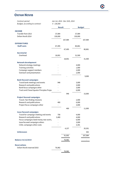| Contract period<br>Budget, according to contract                       | Jan 1st, 2014 - Dec 31th, 2014<br>€ 130,000 |         |                |         |  |
|------------------------------------------------------------------------|---------------------------------------------|---------|----------------|---------|--|
|                                                                        | <b>Result</b>                               |         | <b>Budget</b>  |         |  |
| <b>INCOME</b>                                                          |                                             |         |                |         |  |
| Transfer from 2013                                                     | 37,984                                      |         | 37,984         |         |  |
| Oxfam Novib 2014                                                       | 130,000                                     |         | 130,000        |         |  |
|                                                                        |                                             | 167,984 |                | 167,984 |  |
| <b>EXPENDITURES</b>                                                    |                                             |         |                |         |  |
| <b>Staff costs</b>                                                     | 67,495                                      |         | 80,881         |         |  |
|                                                                        |                                             | 67,495  |                | 80,881  |  |
| <b>Secretariat</b>                                                     |                                             |         |                |         |  |
| Overhead                                                               | 18,001                                      |         | 31,500         |         |  |
|                                                                        |                                             | 18,001  |                | 31,500  |  |
|                                                                        |                                             |         |                |         |  |
| <b>Network development</b><br>Network strategy meetings                |                                             |         | 4,000          |         |  |
| Training activities                                                    |                                             |         | 1,000          |         |  |
| Campaign support members                                               |                                             |         | 2,000          |         |  |
| Outreach and presentation                                              |                                             |         | 2,000          |         |  |
|                                                                        |                                             |         |                | 9,000   |  |
|                                                                        |                                             |         |                |         |  |
| <b>Bank focused campaigns</b>                                          |                                             |         |                |         |  |
| Travel bank meetings and events                                        | 948                                         |         | 3,000          |         |  |
| Research and publications                                              |                                             |         | 3,000          |         |  |
| Bank focus campaigns other<br>Track and Chase Equator Pinciples Projed |                                             |         | 3,000<br>6,000 |         |  |
|                                                                        |                                             |         |                |         |  |
|                                                                        |                                             | 948     |                | 15,000  |  |
| <b>Project focused campaigns</b>                                       |                                             |         |                |         |  |
| Travel / fact finding missions                                         |                                             |         | 2,000          |         |  |
| Research and publications                                              | 400                                         |         | 6,000          |         |  |
| Project focus campaigns other                                          |                                             |         | 3,000          |         |  |
|                                                                        |                                             | 400     |                | 11,000  |  |
| <b>Issue focused campaigns</b>                                         |                                             |         |                |         |  |
| Travel for campaign meeting and events                                 | 758                                         |         | 4,000          |         |  |
| Research and publications                                              | 3,400                                       |         | 4,000          |         |  |
| Focus campaigns Seed money new work {                                  |                                             |         | 6,000          |         |  |
| Issue focused campaigns others                                         |                                             |         | 3,000          |         |  |
| COAL campaigns other costs                                             |                                             |         | 3,301          |         |  |
|                                                                        |                                             | 4,157   |                | 20,301  |  |
| <b>Unforeseen</b>                                                      |                                             |         |                | 302     |  |
|                                                                        |                                             | 91,002  |                | 167,984 |  |
|                                                                        |                                             |         |                |         |  |
| <b>Balance 31/12/2014</b>                                              |                                             | 76,982  |                |         |  |
| <b>Reservations</b>                                                    |                                             |         |                |         |  |
| Oxfam Novib reserved 2015                                              | 76,982                                      |         |                |         |  |
|                                                                        |                                             | 76,982  |                |         |  |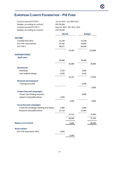# **EUROPEAN CLIMATE FOUNDATION – PIE FUND**

| Contract period ECF-PIE I              | Jul 1st 2013 - Jun 30th 2014   |        |               |         |  |
|----------------------------------------|--------------------------------|--------|---------------|---------|--|
| Budget, according to contract          | US\$ 90,000                    |        |               |         |  |
| Contract period ECF-PIE II             | Aug 1st, 2014 - Dec 31st, 2014 |        |               |         |  |
| Budget, according to contract          | US\$ 50,000                    |        |               |         |  |
|                                        | <b>Result</b>                  |        | <b>Budget</b> |         |  |
| <b>INCOME</b>                          |                                |        |               |         |  |
| Transfer from 2013                     | 15,239                         |        | 15,239        |         |  |
| ECF-PIE I last tranche                 | 22,182                         |        | 29,650        |         |  |
| ECF-PIE II                             | 38,071                         |        | 66,000        |         |  |
|                                        |                                | 75,492 |               | 110,889 |  |
| <b>EXPENDITURES</b>                    |                                |        |               |         |  |
| <b>Staff costs</b>                     |                                |        |               |         |  |
|                                        | 42,068                         |        | 39,406        |         |  |
|                                        |                                | 42,068 |               | 39,406  |  |
| <b>Secretariat</b>                     |                                |        |               |         |  |
| Overhead                               | 2,703                          |        | 3,904         |         |  |
| Coal website design                    | 9,429                          |        | 9,120         |         |  |
|                                        |                                | 12,132 |               | 13,024  |  |
| <b>Network development</b>             |                                |        |               |         |  |
| Training activities                    |                                |        | 2,000         |         |  |
|                                        |                                |        |               | 2,000   |  |
| <b>Project focused campaigns</b>       |                                |        |               |         |  |
| Travel / fact finding missions         |                                |        | 4,000         |         |  |
| research and publications              | 1,936                          |        |               |         |  |
|                                        |                                | 1,936  |               | 4,000   |  |
| <b>Issue focused campaigns</b>         |                                |        |               |         |  |
| Travel for campaign meeting and events | 1,999                          |        | 2,000         |         |  |
| Research and publications              | 11,713                         |        | 11,964        |         |  |
|                                        |                                | 13,712 |               | 13,964  |  |
|                                        |                                | 69,848 |               | 72,394  |  |
| <b>Balance 31/12/2014</b>              |                                | 5,644  |               | 38,495  |  |
|                                        |                                |        |               |         |  |
| <b>Reservations</b>                    |                                |        |               |         |  |
| ECF-PIE reservation 2015               | 5,644                          |        |               |         |  |
|                                        |                                | 5,644  |               |         |  |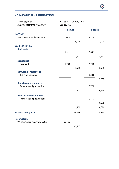# **VK RASMUSSEN FOUNDATION**

| Contract period<br>Budget, according to contract           | Jul 1st 2014 - Jun 30, 2015<br>US\$ 110.000 |        |               |        |
|------------------------------------------------------------|---------------------------------------------|--------|---------------|--------|
|                                                            | <b>Result</b>                               |        | <b>Budget</b> |        |
| <b>INCOME</b>                                              |                                             |        |               |        |
| Rasmussen Foundation 2014                                  | 79,474                                      |        | 73,220        |        |
|                                                            |                                             | 79,474 |               | 73,220 |
| <b>EXPENDITURES</b>                                        |                                             |        |               |        |
| <b>Staff costs</b>                                         |                                             |        |               |        |
|                                                            | 11,921                                      |        | 18,652        |        |
|                                                            |                                             | 11,921 |               | 18,652 |
| <b>Secretariat</b>                                         |                                             |        |               |        |
| overhead                                                   | 1,788                                       |        | 2,798         |        |
|                                                            |                                             | 1,788  |               | 2,798  |
| <b>Network development</b><br>Training activities          |                                             |        | 3,388         |        |
|                                                            |                                             |        |               |        |
|                                                            |                                             |        |               | 3,388  |
| <b>Bank focused campaigns</b><br>Research and publications |                                             |        | 6,776         |        |
|                                                            |                                             |        |               | 6,776  |
|                                                            |                                             |        |               |        |
| <b>Issue focused campaigns</b>                             |                                             |        |               |        |
| Research and publications                                  |                                             |        | 6,776         |        |
|                                                            |                                             |        |               | 6,776  |
|                                                            |                                             | 13,709 |               | 38,390 |
| <b>Balance 31/12/2014</b>                                  |                                             | 65,765 |               | 34,830 |
|                                                            |                                             |        |               |        |
| <b>Reservations</b><br>VK Rasmussen reservation 2015       | 65,765                                      |        |               |        |
|                                                            |                                             |        |               |        |
|                                                            |                                             | 65,765 |               |        |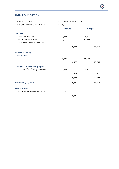## **JMG FOUNDATION**

| Contract period<br>Budget, according to contract      | Jul 1st 2014 - Jun 30th, 2015<br>30,000<br>€ |               |
|-------------------------------------------------------|----------------------------------------------|---------------|
|                                                       | <b>Result</b>                                | <b>Budget</b> |
| <b>INCOME</b>                                         |                                              |               |
| Transfer from 2013                                    | 3,611                                        | 3,611         |
| JMG Foundation 2014<br>€ 8,000 to be received in 2015 | 22,000                                       | 30,059        |
|                                                       | 25,611                                       | 33,670        |
| <b>EXPENDITURES</b><br><b>Staff costs</b>             |                                              |               |
|                                                       | 8,439                                        | 18,745        |
|                                                       | 8,439                                        | 18,745        |
| <b>Project focused campaigns</b>                      |                                              |               |
| Travel / fact finding missions                        | 1,492                                        | 3,611         |
|                                                       | 1,492                                        | 3,611         |
|                                                       | 9,931                                        | 22,356        |
| <b>Balance 31/12/2013</b>                             | 15,680                                       | 11,314        |
| <b>Reservations</b>                                   |                                              |               |
| JMG foundation reserved 2015                          | 15,680                                       |               |
|                                                       | 15,680                                       |               |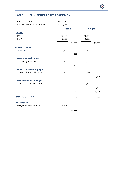# **RAN/ EEPN SUPPORT FOREST CAMPAIGN**

| Contract period                  | unspecified   |        |               |        |
|----------------------------------|---------------|--------|---------------|--------|
| Budget, according to contract    | 21,000<br>€   |        |               |        |
|                                  | <b>Result</b> |        | <b>Budget</b> |        |
| <b>INCOME</b>                    |               |        |               |        |
| <b>RAN</b>                       | 16,000        |        | 16,000        |        |
| <b>EEPN</b>                      | 5,000         |        | 5,000         |        |
|                                  |               | 21,000 |               | 21,000 |
| <b>EXPENDITURES</b>              |               |        |               |        |
| <b>Staff costs</b>               | 5,272         |        |               |        |
|                                  |               | 5,272  |               |        |
| <b>Network development</b>       |               |        |               |        |
| Training activities              |               |        | 3,000         |        |
|                                  |               |        |               | 3,000  |
| <b>Project focused campaigns</b> |               |        |               |        |
| research and publications        |               |        | 2,541         |        |
|                                  |               |        |               | 2,541  |
| <b>Issue focused campaigns</b>   |               |        |               |        |
| Research and publications        |               |        | 2,500         |        |
|                                  |               |        |               | 2,500  |
|                                  |               | 5,272  |               | 8,041  |
| <b>Balance 31/12/2014</b>        |               | 15,728 |               | 12,959 |
|                                  |               |        |               |        |
| <b>Reservations</b>              |               |        |               |        |
| RAN/EEPN reservation 2015        | 15,728        |        |               |        |
|                                  |               | 15,728 |               |        |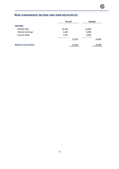### **NON-EARMARKED INCOME AND OWN RESOURCES**

|                           | <b>Result</b> | <b>Budget</b> |
|---------------------------|---------------|---------------|
| <b>INCOME</b>             |               |               |
| Member fees               | 20,189        | 16,000        |
| Interest earnings         | 2,183         | 4,000         |
| Income other              | 1,447         | 4,000         |
|                           | 23,819        | 24,000        |
| <b>Balance 31/12/2014</b> | 23,819        | 24,000        |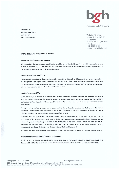

**Accountants & Adviseurs** 

The board of **Stichting BankTrack** Vismarkt 15 6511 VJ NIJMEGEN

**Vestiging Nijmegen** Postbus 31214, 6503 CE Bezoekadres: St. Annastraat 234, 6525 GZ T (024) 323 13 65 F (024) 323 12 36 E bghnijmegen@bghacc.nl

### **INDEPENDENT AUDITOR'S REPORT**

#### **Report on the financial statements**

We have audited the accompanying financial statements 2014 of Stichting BankTrack, Utrecht, which comprise the balance sheet as of December 31, 2014, the profit and loss account for the year then ended and the notes, comprising a summary of the accounting policies and other explanatory information.

#### **Management's responsibility**

Management is responsible for the preparation and fair presentation of these financial statements and for the preparation of the management board report, both in accordance with Part 9 of Book 2 of the Dutch Civil Code. Furthermore management is responsible for such internal control as it determines is necessary to enable the preparation of the financial statements that are free from material misstatement, whether due to fraud or error.

#### **Auditor's responsibility**

Our responsibility is to express an opinion on these financial statements based on our audit. We conducted our audit in accordance with Dutch law, including the Dutch Standard on Auditing. This requires that we comply with ethical requirements and plan and perform the audit to obtain reasonable assurance about whether the financial statements are free from material misstatement.

An audit involves performing procedures to obtain audit evidence about the amounts and disclosures in the financial statements. The procedures selected depend on the auditor's judgement, including the assessment of the risks of material misstatement of the financial statements, whether due to fraud or error.

In making those risk assessments, the auditor considers internal control relevant to the entity's preparation and fair presentation of the financial statements in order to design audit procedures that are appropriate in the circumstances, but not for the purpose of expressing an opinion on the effectiveness of the entity's internal control. An audit also includes evaluating the appropriateness of accounting policies used and the reasonableness of accounting estimates made by management, as well as evaluating the overall presentation of the financial statements.

We believe that the audit evidence we have obtained is sufficient and appropriate to provide us a basis for our audit opinion.

#### Opinion with respect to the financial statements

In our opinion, the financial statements give a true and fair view of the financial position of Stichting BankTrack as of December 31, 2014 and of its result for the year then ended in accordance with Part 9 of Book 2 of the Dutch Civil Code.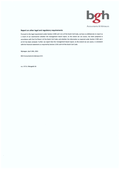

### Report on other legal and regulatory requirements

Pursuant to the legal requirement under Section 2:393 sub 5 at e of the Dutch Civil Code, we have no deficiencies to report as a result of our examination whether the management board report, to the extent we can assess, has been prepared in accordance with Part 9 of Book 2 of the Dutch Civil Code, and whether the information as required under Section 2:392 sub 1 at b-h has been annexed. Further we report that the management board report, to the extend we can assess, is consistent with the financial statements as required by Section 2:391 sub 4 of the Dutch Civil Code.

Nijmegen, April 24th, 2015

**BGH Accountants & Adviseurs B.V.** 

w.s. R.P.A. Mengedé AA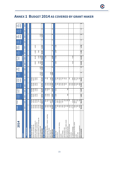| 2014                                             | <b>Budget</b> | <b>Actual</b> | CS Mott<br>budget | <b>CS Mott</b><br>actual | Oxfam<br>Novib | Oxfam<br>Novib | budget<br>JMG | actual<br>JMG | ECF-PIE<br><b>budget</b>   | ECF-PIE<br>actual | budget<br><b>VKRF</b> | actual<br><b>VKRF</b> | EEPN<br>RAN,  | EEPN<br>RAN, | funds<br>own | funds<br>own |
|--------------------------------------------------|---------------|---------------|-------------------|--------------------------|----------------|----------------|---------------|---------------|----------------------------|-------------------|-----------------------|-----------------------|---------------|--------------|--------------|--------------|
|                                                  |               |               |                   |                          | budget         | actual         |               |               |                            |                   |                       |                       | <b>budget</b> | actual       | budget       | actual       |
| <b>BUDGET</b>                                    |               |               |                   |                          |                |                |               |               | <b>COVERAGE PER FUNDER</b> |                   |                       |                       |               |              |              |              |
|                                                  | euro          | euro          | euro              | euro                     | euro           | euro           | euro          | euro          | euro                       | euro              | euro                  | euro                  | euro          | euro         | euro         | euro         |
| ORGANISATION                                     |               |               |                   |                          |                |                |               |               |                            |                   |                       |                       |               |              |              |              |
|                                                  |               |               |                   |                          |                |                |               |               |                            |                   |                       |                       |               |              |              |              |
| 1.1 salary costs                                 |               |               |                   |                          |                |                |               |               |                            |                   |                       |                       |               |              |              |              |
| Coordinator (director) JF                        | 83,077        | 78,097        | 41,538            | 40,569                   | 41,539         | 37,529         |               |               |                            |                   |                       |                       |               |              |              |              |
| Researcher and editor RB                         | 26,533        | 28,022        | 13,267            | 14,545                   | 13,266         | 13,477         |               |               |                            |                   |                       |                       |               |              |              |              |
| Climate campaign coordinator YL                  | 50,600        | 53,054        | 6,854             | 6,350                    | 6,854          | 6,350          |               |               | 25,823                     | 28,433            | 11,069                | 11,921                |               |              |              |              |
| Financial & office assistant RVV                 | 16,245        | 16,099        | 8,123             | 8,123                    | 8,122          | 7,976          |               |               |                            |                   |                       |                       |               |              |              |              |
| Campaigns assistant coal campaign GA             | 15,165        | 5,079         |                   |                          |                |                |               |               | 7,583                      | 5,079             | 7,583                 |                       |               |              |              |              |
| Forest campaigner MM                             | 22,245        | 21,119        |                   |                          |                |                | 16,245        | 8,439         | 6,000                      | 7,408             |                       |                       |               | 5,272        |              |              |
| total salary costs                               | 213866        | 201471        | 69782             | 69,587                   | 69,781         | 65,332         | 16,245        | 8,439         | 39,406                     | 40,920            | 18,652                | 11,921                | ۰             | 5,272        | ۰            | ۰            |
| 1.2 staff costs                                  |               |               |                   |                          |                |                |               |               |                            |                   |                       |                       |               |              |              |              |
| staff commuting costs                            | 4600          | 3599          | 2,300             | 2,384                    | 2,300          | 67             |               |               |                            | 1,148             |                       |                       |               |              |              |              |
| staff training / education / retreats / coaching | 2400          | 1898          | 1,200             | 1,200                    | 1,200          | 698            |               |               |                            |                   |                       |                       |               |              |              |              |
| volunteers, trainees                             | 7200          | 250           | 2,000             | 250                      | 5,200          |                |               |               |                            |                   |                       |                       |               |              |              |              |
| other staff cost                                 | 4900          | 1397.67       |                   |                          | 2,400          | 1,398          | 2,500         |               |                            |                   |                       |                       |               |              |              |              |
| total staff costs                                | 19,100        | 7,144         | 5,500             | 3,834                    | 11,100         | 2,163          | 2,500         | ۰             | ۰                          | 1,148             | ۰                     | ۰                     | ۰             | ۰            | ۰            | ۰            |
| .3 secretariat                                   |               |               |                   |                          |                |                |               |               |                            |                   |                       |                       |               |              |              |              |
| housing costs                                    | 12,000        | 11,210        | 2,000             | 4,011                    | 3,300          | 2,707          |               |               | 3,904                      | 2,703             | 2,798                 | 1,788                 |               |              |              |              |
| insurances                                       | 600           | 260.01        |                   |                          | 600            | 260            |               |               |                            |                   |                       |                       |               |              |              |              |
| communication costs, hosting                     | 3000          | 1938.94       |                   |                          | 3,000          | 1,939          |               |               |                            |                   |                       |                       |               |              |              |              |
| supplies                                         | 1200          | 1735.61       |                   |                          | 1,200          | 1,736          |               |               |                            |                   |                       |                       |               |              |              |              |
| copy, printing                                   | 2000          | 749.53        |                   |                          | 2,000          | 750            |               |               |                            |                   |                       |                       |               |              |              |              |
| representation costs                             | 1,400         | 192           |                   |                          | 1,400          | 192            |               |               |                            |                   |                       |                       |               |              |              |              |
| documentation subscription, books                | 900           | 681           |                   |                          | 900            | 681            |               |               |                            |                   |                       |                       |               |              |              |              |
| other secretariat costs                          | 800           | 346           | 800               | 346                      |                |                |               |               |                            |                   |                       |                       |               |              |              |              |
| travel staff non earmarked                       | 3,000         | 324           |                   |                          | 3,000          | 324            |               |               |                            |                   |                       |                       |               |              |              |              |
| translation                                      | 1,200         |               |                   |                          | 1,200          |                |               |               |                            |                   |                       |                       |               |              |              |              |
| IT, website and design                           | 12.120        | 12,513        |                   |                          | 3,000          | 3,084          |               |               | 9,120                      | 9,429             |                       |                       |               |              |              |              |
| bookkeeping and salary admin                     | 5500          | 2549.59       |                   |                          | 5,500          | 2,550          |               |               |                            |                   |                       |                       |               |              |              |              |
| auditor                                          | 2600          | 2571.25       |                   |                          | 2,600          | 2,571          |               |               |                            |                   |                       |                       |               |              |              |              |
| bank costs                                       | 800           | 447           |                   |                          | 800            | 47             |               |               |                            |                   |                       |                       |               |              |              |              |
| depreciation equipment                           | 3,000         | <b>761</b>    |                   |                          | 3,000          | 761            |               |               |                            |                   |                       |                       |               |              |              |              |
| total secretariat                                | 50,120        | 36,278        | 2,800             | 4,357                    | 31,500         | 18,001         | ۰             | ō             | 13,024                     | 12,132            | 2,798                 | 1,788                 | ۰             | ۰            | $\mathbf{C}$ |              |
|                                                  |               |               |                   |                          |                |                |               |               |                            |                   |                       |                       |               |              |              |              |

# <span id="page-21-0"></span>**ANNEX 1 BUDGET 2014 AS COVERED BY GRANT MAKER**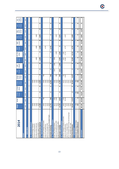|                                            | tet.<br>Budg             | <b>Actual</b> | CS Mott   | <b>CS Mott</b> | Oxfam   | Oxfam  | JMG    | JMG    | ECF-PIE | ECF-PIE                    | <b>VKRF</b> | <b>VKRF</b> | RAN,   | RAN,           | own    | own    |
|--------------------------------------------|--------------------------|---------------|-----------|----------------|---------|--------|--------|--------|---------|----------------------------|-------------|-------------|--------|----------------|--------|--------|
| 2014                                       |                          |               | budget    | actual         | Novib   | Novib  | budget | actual | budget  | actual                     | budget      | actual      | EEPN   | EEPN           | funds  | funds  |
|                                            |                          |               |           |                | budget  | actual |        |        |         |                            |             |             | budget | actual         | budget | actual |
| <b>BUDGET</b>                              |                          |               |           |                |         |        |        |        |         | <b>COVERAGE PER FUNDER</b> |             |             |        |                |        |        |
|                                            | euro                     | euro          | euro      | euro           | euro    | euro   | euro   | euro   | euro    | euro                       | euro        | euro        | euro   | euro           | euro   | euro   |
| <b>WORK AREAS</b>                          |                          |               |           |                |         |        |        |        |         |                            |             |             |        |                |        |        |
|                                            |                          |               |           |                |         |        |        |        |         |                            |             |             |        |                |        |        |
| .1 Network development                     |                          |               |           |                |         |        |        |        |         |                            |             |             |        |                |        |        |
| network strategy meetings                  | 4,000                    |               |           |                | 4,000   |        |        |        |         |                            |             |             |        |                |        |        |
| outreach and presentation                  | 2,000                    |               |           |                | 2,000   |        |        |        |         |                            |             |             |        |                |        |        |
| training activities (external)             |                          |               |           |                | 1,000   |        |        |        | 2,000   |                            | 3,388       |             | 3,000  | $\blacksquare$ |        |        |
| campaign support members                   | 2,000                    |               |           |                | 2,000   |        |        |        |         |                            |             |             |        |                |        |        |
| total network development                  | 17,388                   | ō             | ō         | ٥              | 9,000   | ō      | ۰      | o      | 2,000   | o                          | 3,388       | 0           | 3,000  | ٥              | ۰      |        |
| 2.2 Bank focused campaigns                 |                          |               |           |                |         |        |        |        |         |                            |             |             |        |                |        |        |
| travel bank meetings and events            | 000<br>ω,                | 948           |           |                | 3,000   | 948    |        |        |         |                            |             |             |        |                |        |        |
| research and publications                  | 9,776<br>3,000           |               |           |                | 3,000   |        |        |        |         |                            | 6,776       |             |        |                |        |        |
| bank focus campaign other                  |                          |               |           |                | 3,000   |        |        |        |         |                            |             |             |        | $\mathbf{I}$   |        |        |
| rack and Chase Equator Principles Project  | 6,000                    |               |           |                | 6,000   |        |        |        |         |                            |             |             |        |                |        |        |
| total bank monitoring                      | 776<br>$\overline{a}$    | 948           | $\bullet$ | $\circ$        | 15,000  | 948    | ۰      | ۰      | ۰       | ō                          | 6,776       | ۰           | ۰      | ۰              | ۰      |        |
| 2.3 Project focused campaigns              |                          |               |           |                |         |        |        |        |         |                            |             |             |        |                |        |        |
| travel / fact finding missions             | 611<br>ω.                | 1,492         |           |                | 2,000   |        | 3,611  | 1,492  | 4,000   |                            |             |             |        |                |        |        |
| research and publications (SRF)            | 541<br>∞்                | 2,336         |           |                | 6,000   | 400    |        |        |         | 1,936                      |             |             | 2,541  | ï              |        |        |
| project focus campaigns other              | 3,000                    |               |           |                | 3,000   |        |        |        |         |                            |             |             |        | ï              |        |        |
| total project campaign                     | 52<br>ੜ੍ਹ                | 3,828         | $\bullet$ | ۰              | 11,000  | 400    | 3,611  | 1,492  | 4,000   | 1,936                      | $\bullet$   | ۰           | 2,541  | ۰              | ۰      |        |
| 2.4 Issue focused campaigns                |                          |               |           |                |         |        |        |        |         |                            |             |             |        |                |        |        |
| travel for campaign meeting and events     | 6,000                    | 2,756         |           |                | 4,000   | 758    |        |        | 2,000   | 1,999                      |             |             |        |                |        |        |
| research and publications                  | 25,240<br>3,000<br>6,000 | 15,113        |           |                | 4,000   | 3,400  |        |        | 11,964  | 11,713                     | 6,776       |             | 2,500  |                |        |        |
| ssue focus campaign other                  |                          | $\mathbf{r}$  |           |                | 3,000   |        |        |        |         |                            |             |             |        |                |        |        |
| focus campaigns Seed money new work groups |                          | $\mathbf{I}$  |           |                | 6,000   |        |        |        |         |                            |             |             |        |                |        |        |
| COAL campaign other costs                  | 3,301                    |               |           |                | 3301    |        |        |        |         |                            |             |             |        |                |        |        |
| total focus programmes                     | 43,541                   | 17,870        | $\bullet$ | $\bullet$      | 20,301  | 4,157  | ۰      | ō      | 13,964  | 13,712                     | 6,776       | 0           | 2,500  | 0              | ۰      |        |
| 3. UNFORESEEN                              |                          |               |           |                |         |        |        |        |         |                            |             |             |        |                |        |        |
| unforeseen, exchange correction            | 407                      |               | 105       |                | 302     |        |        |        |         |                            |             |             |        |                |        |        |
| total evaluation unforeseen                | 407                      | ۰             | 105       | ۰              | 302     | ō      | ۰      |        | 0       | ۰                          | ۰           | ۰           | 0      | ۰              | ۰      |        |
|                                            |                          |               |           |                |         |        |        |        |         |                            |             |             |        |                |        |        |
| <b>Total BUDGET</b>                        | 350<br>387;              | 267,540       | 78,187    | 77,778         | 167,984 | 91,002 | 22,356 | 9,931  | 72,394  | 69,848                     | 38,390      | 13,709      | 8,041  | 5,272          | ۰      |        |
|                                            |                          |               |           |                |         |        |        |        |         |                            |             |             |        |                |        |        |